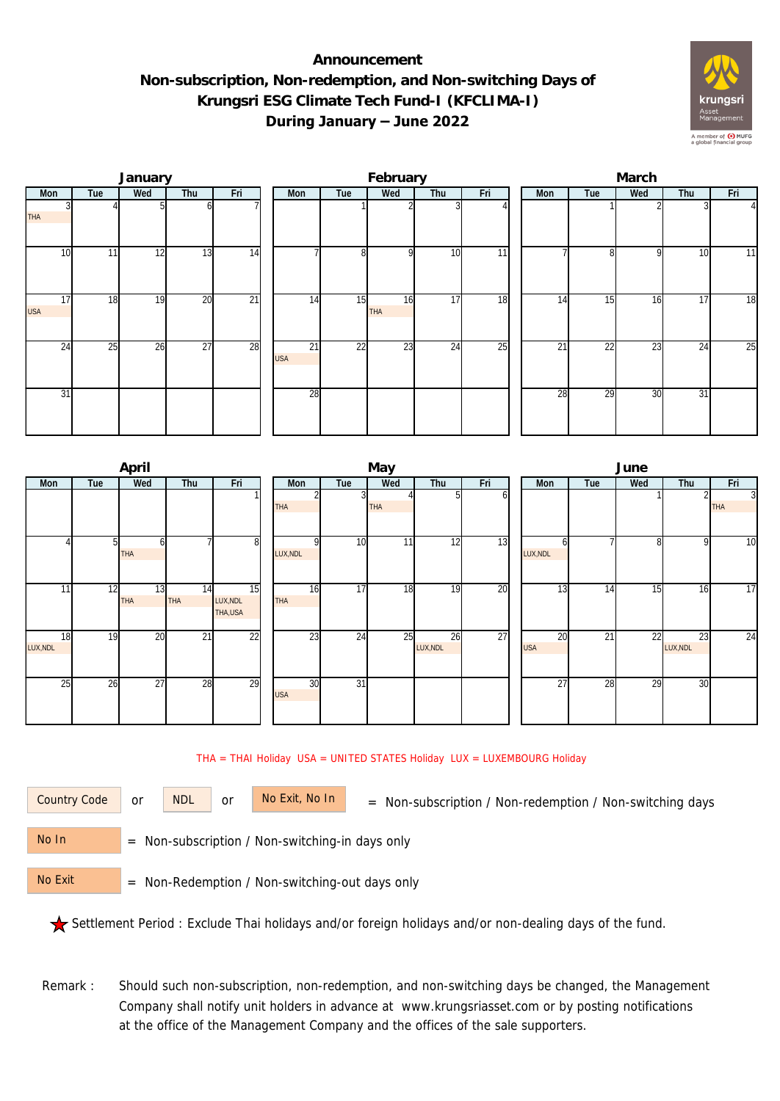## **Announcement Non-subscription, Non-redemption, and Non-switching Days of Krungsri ESG Climate Tech Fund-I (KFCLIMA-I) During January – June 2022**



|                  |     | January |                 |                 |                               |                | February         |     |     | March |                 |     |     |                |  |  |
|------------------|-----|---------|-----------------|-----------------|-------------------------------|----------------|------------------|-----|-----|-------|-----------------|-----|-----|----------------|--|--|
| Mon              | Tue | Wed     | Thu             | Fri             | Mon                           | Tue            | Wed              | Thu | Fri | Mon   | Tue             | Wed | Thu | Fri            |  |  |
| <b>THA</b>       |     |         |                 |                 |                               |                |                  |     |     |       |                 |     |     | $\overline{4}$ |  |  |
| 10               | 11  | 12      | 13              | 14              |                               | 8 <sup>1</sup> | $\Omega$         | 10  | 11  |       | $\Omega$        | Q   | 10  | 11             |  |  |
| 17<br><b>USA</b> | 18  | 19      | $\overline{20}$ | $\overline{21}$ | 14                            | 15             | 16<br><b>THA</b> | 17  | 18  | 14    | 15              | 16  | 17  | 18             |  |  |
| 24               | 25  | 26      | $\overline{27}$ | 28              | $\overline{21}$<br><b>USA</b> | 22             | 23               | 24  | 25  | 21    | $\overline{22}$ | 23  | 24  | 25             |  |  |
| 31               |     |         |                 |                 | 28                            |                |                  |     |     | 28    | $\overline{29}$ | 30  | 31  |                |  |  |

|                |     | April            |                               |                                         |                  |                         | May        |                |    | June             |     |     |                |                              |  |  |
|----------------|-----|------------------|-------------------------------|-----------------------------------------|------------------|-------------------------|------------|----------------|----|------------------|-----|-----|----------------|------------------------------|--|--|
| Mon            | Tue | Wed              | Fri<br>Thu                    |                                         | Mon              | Tue                     |            | Wed<br>Thu     |    | Mon              | Tue | Wed | Thu            | Fri                          |  |  |
|                |     |                  |                               |                                         | <b>THA</b>       | $\overline{\mathbf{3}}$ | <b>THA</b> |                | n  |                  |     |     |                | $\overline{3}$<br><b>THA</b> |  |  |
|                |     | 61<br><b>THA</b> |                               | 8                                       | LUX, NDL         | 10                      | 11         | 12             | 13 | LUX, NDL         |     | 8   | 9              | 10                           |  |  |
| 11             | 12  | 13<br><b>THA</b> | $1\overline{4}$<br><b>THA</b> | $\overline{15}$<br>LUX, NDL<br>THA, USA | 16<br><b>THA</b> | 17                      | 18         | 19             | 20 | 13               | 14  | 15  | 16             | 17                           |  |  |
| 18<br>LUX, NDL | 19  | 20               | 21                            | 22                                      | 23               | 24                      | 25         | 26<br>LUX, NDL | 27 | 20<br><b>USA</b> | 21  | 22  | 23<br>LUX, NDL | 24                           |  |  |
| 25             | 26  | 27               | 28                            | 29                                      | 30<br><b>USA</b> | 31                      |            |                |    | 27               | 28  | 29  | 30             |                              |  |  |

THA = THAI Holiday USA = UNITED STATES Holiday LUX = LUXEMBOURG Holiday

or NDL or

Country Code or NDL or No Exit, No In = Non-subscription / Non-redemption / Non-switching days

 = Non-subscription / Non-switching-in days only No In

 = Non-Redemption / Non-switching-out days only No Exit

Settlement Period : Exclude Thai holidays and/or foreign holidays and/or non-dealing days of the fund.

Remark : Should such non-subscription, non-redemption, and non-switching days be changed, the Management Company shall notify unit holders in advance at www.krungsriasset.com or by posting notifications at the office of the Management Company and the offices of the sale supporters.